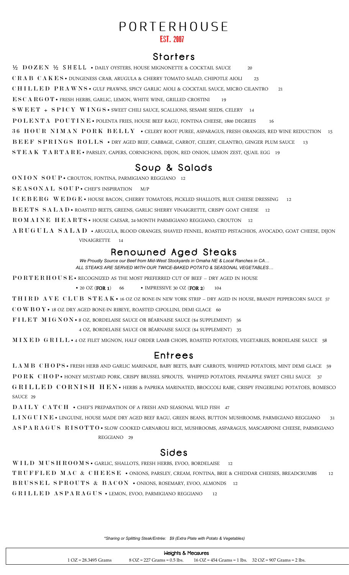# PORTERHOUSE

### EST 2007

# **Starters**

½ D O Z E N ½ S H E L L • DAILY OYSTERS, HOUSE MIGNONETTE & COCKTAIL SAUCE 20 C R A B C A K E S • DUNGENESS CRAB, ARUGULA & CHERRY TOMATO SALAD, CHIPOTLE AIOLI 23 C H I L L E D P R A W N S · GULF PRAWNS, SPICY GARLIC AIOLI & COCKTAIL SAUCE, MICRO CILANTRO 21 E S C A R G O T • FRESH HERBS, GARLIC, LEMON, WHITE WINE, GRILLED CROSTINI 19 S W E E T + S P I C Y W I N G S · SWEET CHILI SAUCE, SCALLIONS, SESAME SEEDS, CELERY 14 POLENTA POUTINE • POLENTA FRIES, HOUSE BEEF RAGU, FONTINA CHEESE, 1800 DEGREES 16 36 HOUR NIMAN PORK BELLY • CELERY ROOT PUREE, ASPARAGUS, FRESH ORANGES, RED WINE REDUCTION 15 B E E F S P R I N G S R O L L S · DRY AGED BEEF, CABBAGE, CARROT, CELERY, CILANTRO, GINGER PLUM SAUCE 13 S T E A K T A R T A R E • PARSLEY, CAPERS, CORNICHONS, DIJON, RED ONION, LEMON ZEST, QUAIL EGG 19

# Soup & Salads

O N I O N S O U P · CROUTON, FONTINA, PARMIGIANO REGGIANO 12

SEASONAL SOUP · CHEF'S INSPIRATION M/P

I C E B E R G W E D G E • HOUSE BACON, CHERRY TOMATOES, PICKLED SHALLOTS, BLUE CHEESE DRESSING 12

B E E T S S A L A D · ROASTED BEETS, GREENS, GARLIC SHERRY VINAIGRETTE, CRISPY GOAT CHEESE 12

R O M A I N E H E A R T S · HOUSE CAESAR, 24-MONTH PARMIGIANO REGGIANO, CROUTON

A R U G U L A S A L A D • ARUGULA, BLOOD ORANGES, SHAVED FENNEL, ROASTED PISTACHIOS, AVOCADO, GOAT CHEESE, DIJON VINAIGRETTE 14

# Renowned Aged Steaks

*We Proudly Source our Beef from Mid-West Stockyards in Omaha NE & Local Ranches in CA… ALL STEAKS ARE SERVED WITH OUR TWICE-BAKED POTATO & SEASONAL VEGETABLES…*

PORTERHOUSE • RECOGNIZED AS THE MOST PREFERRED CUT OF BEEF – DRY AGED IN HOUSE

• 20 OZ (FOR 1) 66 • IMPRESSIVE 30 OZ (FOR 2) 104

THIRD AVE CLUB STEAK • 16 OZ OZ BONE-IN NEW YORK STRIP – DRY AGED IN HOUSE, BRANDY PEPPERCORN SAUCE 57

C O W B O Y • 18 OZ DRY AGED BONE-IN RIBEYE, ROASTED CIPOLLINI, DEMI GLACE 60

FILET MIGNON • 8 OZ, BORDELAISE SAUCE OR BÉARNAISE SAUCE (\$4 SUPPLEMENT) 56

4 OZ, BORDELAISE SAUCE OR BÉARNAISE SAUCE (\$4 SUPPLEMENT) 35

M I X E D G R I L L • 4 OZ FILET MIGNON, HALF ORDER LAMB CHOPS, ROASTED POTATOES, VEGETABLES, BORDELAISE SAUCE 58

### **Entrees**

L A M B C H O P S · FRESH HERB AND GARLIC MARINADE, BABY BEETS, BABY CARROTS, WHIPPED POTATOES, MINT DEMI GLACE 59 PORK CHOP · HONEY MUSTARD PORK, CRISPY BRUSSEL SPROUTS, WHIPPED POTATOES, PINEAPPLE SWEET CHILI SAUCE 37 G RILLED CORNISH HEN • HERBS & PAPRIKA MARINATED, BROCCOLI RABE, CRISPY FINGERLING POTATOES, ROMESCO SAUCE 29

DAILY CATCH • CHEF'S PREPARATION OF A FRESH AND SEASONAL WILD FISH 47

L I N G U I N E • LINGUINE, HOUSE MADE DRY AGED BEEF RAGU, GREEN BEANS, BUTTON MUSHROOMS, PARMIGIANO REGGIANO 31 A S P A R A G U S R I S O T T O · SLOW COOKED CARNAROLI RICE, MUSHROOMS, ASPARAGUS, MASCARPONE CHEESE, PARMIGIANO REGGIANO 29

# **Sides**

W I L D M U S H R O O M S · GARLIC, SHALLOTS, FRESH HERBS, EVOO, BORDELAISE 12 TRUFFLED MAC & CHEESE • ONIONS, PARSLEY, CREAM, FONTINA, BRIE & CHEDDAR CHEESES, BREADCRUMBS 12  $\text{B}\,\text{R}\,\text{U}\,\text{S}\,\text{S}\,\text{E}\,\text{L}\quad \text{S}\,\text{P}\,\text{R}\,\text{O}\,\text{U}\,\text{T}\,\text{S}\quad \text{\&}\quad \text{B}\,\text{A}\,\text{C}\,\text{O}\,\text{N}\quad \bullet \text{ ONIONS},\text{ ROSEMARY},\text{EVOO},\text{ALMONDS}\quad \text{12}$ G R I L L E D A S P A R A G U S • LEMON, EVOO, PARMIGIANO REGGIANO 12

*\*Sharing or Splitting Steak/Entrée: \$9(Extra Plate with Potato & Vegetables)*